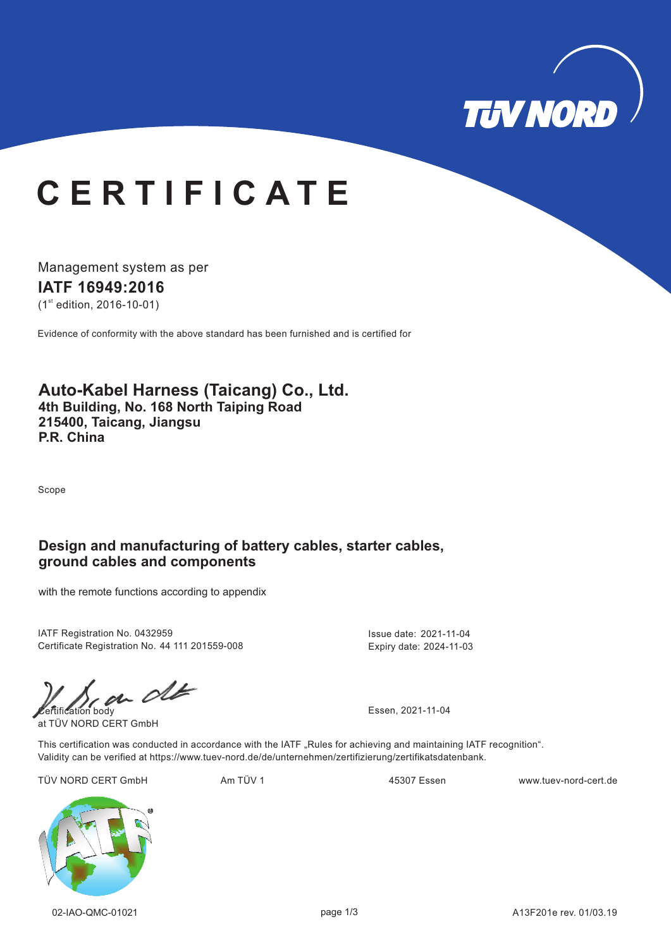

# **C E R T I F I C A T E**

Management system as per **IATF 16949: 16 20**  $(1<sup>st</sup>$  edition, 2016-10-01)

Evidence of conformity with the above standard has been furnished and is certified for

### **Auto-Kabel Harness (Taicang) Co., Ltd. 4th Building, No. 168 North Taiping Road 215400, Taicang, Jiangsu P.R. China**

Scope

### **Design and manufacturing of battery cables, starter cables, ground cables and components**

with the remote functions according to appendix

IATF Registration No. 0432959 Certificate Registration No. 44 111 201559-008

 $\omega$  of  $\omega$  Essen, 2021-11-04

at TÜV NORD CERT GmbH

Expiry date: 2024-11-03

Issue date: 2021-11-04

This certification was conducted in accordance with the IATF "Rules for achieving and maintaining IATF recognition". Validity can be verified at https://www.tuev-nord.de/de/unternehmen/zertifizierung/zertifikatsdatenbank.

TÜV NORD CERT GmbH Am TÜV 1 Am TÜV 1 45307 Essen www.tuev-nord-cert.de

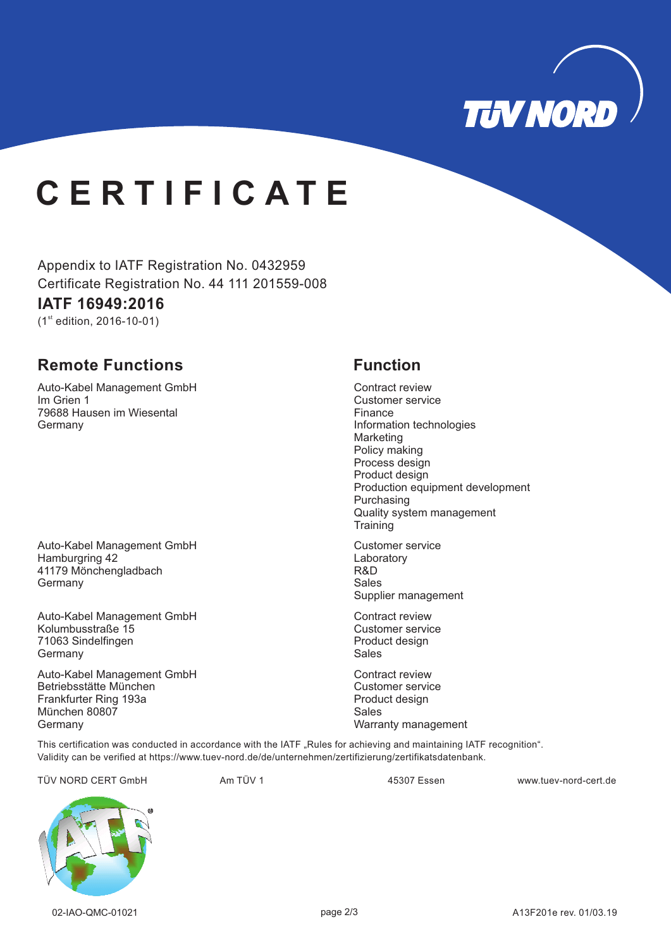

# **C E R T I F I C A T E**

Appendix to IATF Registration No. 0432959 Certificate Registration No. 44 111 201559-008

## **IATF 16949: 16 20**

 $(1<sup>st</sup>$  edition, 2016-10-01)

## **Remote Functions Function**

Auto-Kabel Management GmbH Im Grien 1 79688 Hausen im Wiesental **Germany** 

Auto-Kabel Management GmbH Hamburgring 42 41179 Mönchengladbach **Germany** 

Auto-Kabel Management GmbH Kolumbusstraße 15 71063 Sindelfingen **Germany** 

Auto-Kabel Management GmbH Betriebsstätte München Frankfurter Ring 193a München 80807 Germany

Contract review Customer service Finance Information technologies Marketing Policy making Process design Product design Production equipment development Purchasing Quality system management **Training** 

Customer service Laboratory R&D Sales Supplier management

Contract review Customer service Product design Sales

Contract review Customer service Product design Sales Warranty management

This certification was conducted in accordance with the IATF "Rules for achieving and maintaining IATF recognition". Validity can be verified at https://www.tuev-nord.de/de/unternehmen/zertifizierung/zertifikatsdatenbank.

TÜV NORD CERT GmbH Am TÜV 1 www.tuev-nord-cert.de 45307 Essen